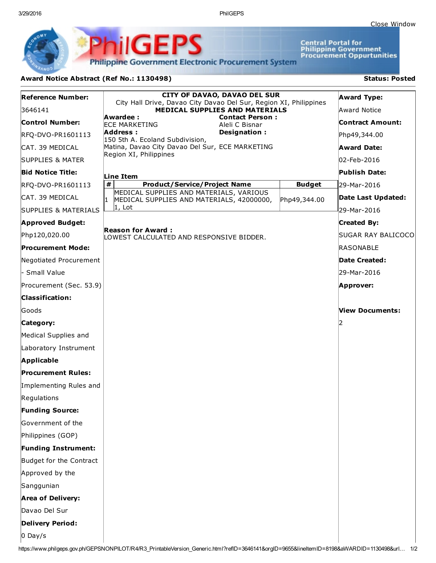3/29/2016 PhilGEPS

**Central Portal for<br>Philippine Government<br>Procurement Oppurtunities** 

**Philippine Government Electronic Procurement System** 

**PhilGEPS** 

## Award Notice Abstract (Ref No.: 1130498) Status: Posted

| <b>Reference Number:</b>        | <b>CITY OF DAVAO, DAVAO DEL SUR</b>                                                                        |               | <b>Award Type:</b>      |  |
|---------------------------------|------------------------------------------------------------------------------------------------------------|---------------|-------------------------|--|
| 3646141                         | City Hall Drive, Davao City Davao Del Sur, Region XI, Philippines<br><b>MEDICAL SUPPLIES AND MATERIALS</b> |               | Award Notice            |  |
| <b>Control Number:</b>          | Awardee:<br><b>Contact Person:</b><br><b>ECE MARKETING</b><br>Aleli C Bisnar                               |               | <b>Contract Amount:</b> |  |
| RFQ-DVO-PR1601113               | Address:<br>Designation:<br>150 5th A. Ecoland Subdivision,                                                |               | Php49,344.00            |  |
| CAT. 39 MEDICAL                 | Matina, Davao City Davao Del Sur, ECE MARKETING                                                            |               | <b>Award Date:</b>      |  |
| <b>SUPPLIES &amp; MATER</b>     | Region XI, Philippines                                                                                     |               | 02-Feb-2016             |  |
| <b>Bid Notice Title:</b>        | Line Item                                                                                                  |               | <b>Publish Date:</b>    |  |
| RFQ-DVO-PR1601113               | #<br><b>Product/Service/Project Name</b>                                                                   | <b>Budget</b> | 29-Mar-2016             |  |
| ICAT. 39 MEDICAL                | MEDICAL SUPPLIES AND MATERIALS, VARIOUS<br>I1<br>MEDICAL SUPPLIES AND MATERIALS, 42000000,                 | Php49,344.00  | Date Last Updated:      |  |
| <b>SUPPLIES &amp; MATERIALS</b> | $ 1, \text{ Lot} $                                                                                         |               | 29-Mar-2016             |  |
| <b>Approved Budget:</b>         |                                                                                                            |               | <b>Created By:</b>      |  |
| Php120,020.00                   | <b>Reason for Award:</b><br>LOWEST CALCULATED AND RESPONSIVE BIDDER.                                       |               | SUGAR RAY BALICOCO      |  |
| <b>Procurement Mode:</b>        |                                                                                                            |               | RASONABLE               |  |
| Negotiated Procurement          |                                                                                                            |               | Date Created:           |  |
| - Small Value                   |                                                                                                            |               | 29-Mar-2016             |  |
| Procurement (Sec. 53.9)         |                                                                                                            |               | Approver:               |  |
| <b>Classification:</b>          |                                                                                                            |               |                         |  |
| Goods                           |                                                                                                            |               | View Documents:         |  |
| Category:                       |                                                                                                            |               |                         |  |
| Medical Supplies and            |                                                                                                            |               |                         |  |
| Laboratory Instrument           |                                                                                                            |               |                         |  |
| Applicable                      |                                                                                                            |               |                         |  |
| <b>Procurement Rules:</b>       |                                                                                                            |               |                         |  |
| Implementing Rules and          |                                                                                                            |               |                         |  |
| Regulations                     |                                                                                                            |               |                         |  |
| <b>Funding Source:</b>          |                                                                                                            |               |                         |  |
| Government of the               |                                                                                                            |               |                         |  |
| Philippines (GOP)               |                                                                                                            |               |                         |  |
| <b>Funding Instrument:</b>      |                                                                                                            |               |                         |  |
| Budget for the Contract         |                                                                                                            |               |                         |  |
| Approved by the                 |                                                                                                            |               |                         |  |
| Sanggunian                      |                                                                                                            |               |                         |  |
| <b>Area of Delivery:</b>        |                                                                                                            |               |                         |  |
| Davao Del Sur                   |                                                                                                            |               |                         |  |
| Delivery Period:                |                                                                                                            |               |                         |  |
| $0$ Day/s                       |                                                                                                            |               |                         |  |